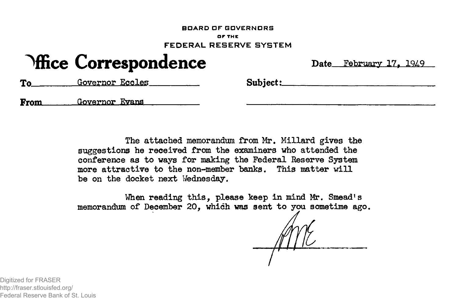#### **BOARD OF GOVERNORS OF THE FEDERAL RESERVE SYSTEM**

# **Office Correspondence** Date February 17, 1949

To Governor Eccles Subject:

**From** Governor Evans

The attached memorandum from Mr. Millard gives the suggestions he received from the examiners who attended the conference as to ways for making the Federal Reserve System more attractive to the non-member banks. This matter will be on the docket next Wednesday.

When reading this, please keep in mind Mr. Smead's memorandum of December 20, which was sent to you sometime ago.

Digitized for FRASER http://fraser.stlouisfed.org/ Federal Reserve Bank of St. Louis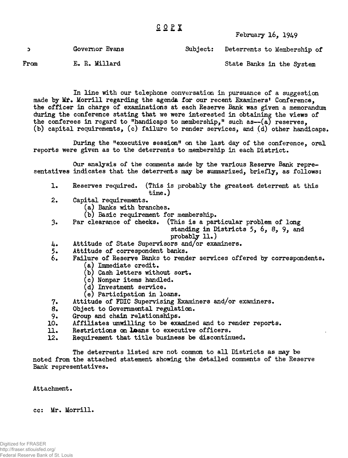## **GO PI**

### February 16, 1949

|      | Governor Evans | Subject: Deterrents to Membership of |
|------|----------------|--------------------------------------|
| From | E. R. Millard  | State Banks in the System            |

In line with our telephone conversation in pursuance of a suggestion made by Mr. Morrill regarding the agenda for our recent Examiners' Conference. the officer in charge of examinations at each Reserve Bank was given a memorandum during the conference stating that we were interested in obtaining the views of the conferees in regard to "handicaps to membership," such as- $(a)$  reserves, (b) capital requirements, (c) failure to render services, and (d) other handicaps.

During the "executive session" on the last day of the conference, oral reports were given as to the deterrents to membership in each District.

Our analysis of the comments made by the various Reserve Bank representatives indicates that the deterrents may be summarized, briefly, as follows:

- 1. Reserves required. (This is probably the greatest deterrent at this  $time.)$
- 2. Capital requirements.
	- (a) Banks with branches.
	- (b) Basic requirement for membership.
- 3. Par clearance of checks. (This is a particular problem of long standing in Districts  $5, 6, 8, 9$ , and  $probability$   $11.$ )
- 4. Attitude of State Supervisors and/or examiners.
- 
- 5. Attitude of correspondent banks.<br>6. Failure of Reserve Banks to rend Failure of Reserve Banks to render services offered by correspondents.  $(a)$  Immediate credit.
	- (b) Cash letters without sort.
	- $(c)$  Nonpar items handled.
	- (d) Investment service.
	- (e) Participation in loans.
- 7. Attitude of FDIC Supervising Examiners and/or examiners.
- 
- 8. Object to Governmental regulation.<br>9. Group and chain relationships. Group and chain relationships.
- 10. Affiliates unwilling to be examined and to render reports.
- 11. Restrictions on **Lo**ans to executive officers.<br>12. Requirement that title business be discontine
- Requirement that title business be discontinued.

The deterrents listed are not common to all Districts as may be noted from the attached statement showing the detailed comments of the Reserve Bank representatives.

Attachment.

cc: Mr. Morrill.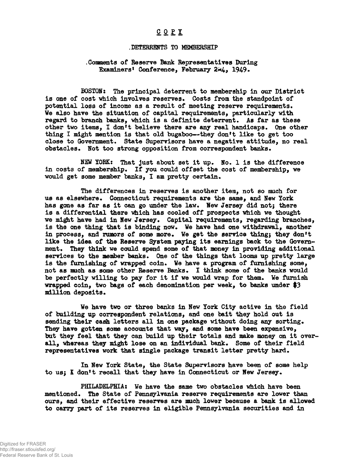## **COP I**

#### **.DETERRENTS TO MEMBERSHIP**

#### **,Goraents of Reserve Bank Bepresentatives Daring Examiners' Conference, February 2\*4, 1949.**

**BOSTOH: The principal deterrent to membership in our District** is one of cost which involves reserves. Costs from the standpoint of **potential loss of income as a result of meeting reserve requirements. We also have the situation of capital requirements, particularly with regard to branch banks, vhich is a definite deterrent. As far as these other two items, I don't believe there are any real handicaps. One other thing I might mention is that old bugaboo—they don't like to get too close to Government. State Supervisors have a negative attitude, no real obstacles. Hot too strong opposition from correspondent banks.**

NEW YORK: That just about set it up. No. 1 is the difference **in costs of membership. If you could offset the cost of membership, we would get some member banks, I am pretty certain.**

**The differences in reserves is another item, not so mach for us as elsewhere• Connecticut requirements are the same, and New York has gone as far as it can go under the law. New Jersey did notj there is a differential there which has cooled off prospects which we thought we might have had in New Jersey. Capital requirements, regarding branches, is the one thing that is binding now. We have had one withdrawal, another in process, and razors of some more. We get the service thing; they don't like the idea of the Reserve System paying its earnings back to the Government. They think we could spend some of that money in providing additional services to the member banks. One of the things that looms up pretty large is the furnishing of wrapped coin. We have a program of furnishing some, not as such as some other Reserve Banks. I think some of the banks would be perfectly willing to pay for it if we would wrap for them. We furnish wrapped coin, two bags of each denomination per week, to banks under \$3 million deposits.**

**We have two or three banks in New York City active in the field of building up correspondent relations, and one bait they hold out is** sending their cash letters all in one package without doing any sorting. **They have gotten some accounts that way, and some have been expensive, but they feel that they can build up their totals and make money on it over**all, whereas they might lose on an individual bank. Some of their field **representatives work that single package transit letter pretty hard.**

**In New York State, the State Supervisors have been of some help to usj I don't recall that they have in Connecticut or New Jersey.**

**PHILADELPHIA: We have the same two obstacles which have been mentioned. The State of Pennsylvania reserve requirements are lower than ours, and their effective reserves are much lower because a bank is allowed to carry part of its reserves in eligible Pennsylvania securities and in**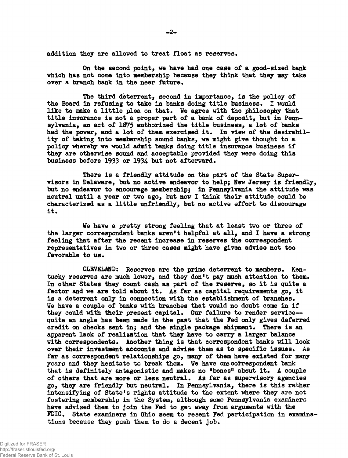**addition they are allowed to treat float as reserves.**

**On the second point, we have had one case of a good-sized bank which has not come into membership because they think that they may take** over a branch bank in the near future.

**The third deterrent, second in importance, is the policy of the Board in refusing to take in banks doing title business. I would like to make a little plea on that. We agree with the philosophy that title insurance is not a proper part of a bank of deposit, but in Pennsylvania, an act of 1875 authorised the title business, a lot of banks had the power, and a lot of them exercised it. In view of the desirability of taking into membership sound banks, we might give thought to a policy whereby we would admit banks doing title insurance business if they are otherwise sound and acceptable provided they were doing this business before 1933 or 1934- but not afterward.**

**There is a friendly attitude on the part of the State Supervisors in Delaware, but no active endeavor to help; New Jersey is friendly, but no endeavor to encourage membership; in Pennsylvania the attitude was neutral until a year or two ago, but now I think their attitude could be characterized as a little unfriendly, but no active effort to discourage it.**

**We have a pretty strong feeling that at least two or three of the larger correspondent banks aren't helpful at all, and I have a strong feeling that after the recent increase in reserves the correspondent representatives in two or three cases might have given advice not too favorable to us.**

**CLEVELAND: Reserves are the prime deterrent to members. Kentucky reserves are much lower, and they don<sup>f</sup>t pay much attention to them. In other States they count cash as part of the reserve, so it is quite a factor and we are told about it. As far as capital requirements go, it is a deterrent only in connection with the establishment of branches. We have a couple of banks with branches that would no doubt come in if they could with their present capital. Our failure to render service quite an angle has been made in the past that the Fed only gives deferred credit on checks sent in; and the single package shipment. There is an apparent lack of realisation that they have to carry a larger balance with correspondents. Another thing is that correspondent banks will look over their investment accounts and advise them as to specific issues. As far as correspondent relationships go, many of them have existed for many years and they hesitate to break them. We have one correspondent bank that is definitely antagonistic and makes no <sup>w</sup>bones<sup>w</sup> about it. A couple of others that are more or less neutral. As far as supervisory agencies go, they are friendly but neutral. In Pennsylvania, there is this rather intensifying of State's rights attitude to the extent where they are not fostering membership in the System, although some Pennsylvania examiners have advised them to join the Fed to get away from arguments with the FDIC# State examiners in Ohio seem to resent Fed participation in examinations because they push them to do a decent job.**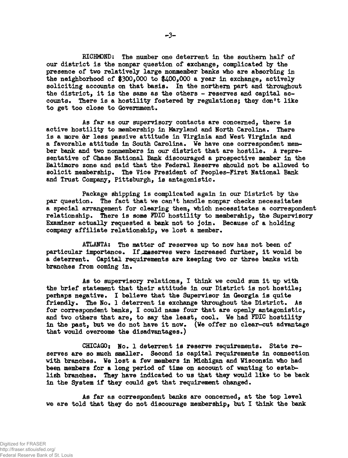**RICHMOND: The number one deterrent in the southern half of our district is the nonpar question of exchange, complicated by the presence of two relatively large nonmember banks who are absorbing in the neighborhood of |300,000 to \$400,000 a year in exchange, actively** soliciting accounts on that basis. In the northern part and throughout **the district, it is the same as the others - reserves and capital accounts. There is a hostility fostered by regulations; they don<sup>f</sup>t like** to get too close to Government.

**As far as our supervisory contacts are concerned, there is active hostility to membership in Maryland and North Carolina\* There** is a more dr less passive attitude in Virginia and West Virginia and a favorable attitude in South Carolina. We have one correspondent member bank and two nonmembers in our district that are hostile. A repre**sentative of Chase National Bank discouraged a prospective member in the Baltimore zone and said that the Federal Reserve should not be allowed to solicit membership\* The Vice President of Peoples-First National Bank** and Trust Company, Pittsburgh, is antagonistic.

**Package shipping is complicated again in our District by the par question\* The fact that we can<sup>f</sup>t handle nonpar checks necessitates a special arrangement for clearing them, which necessitates a correspondent relationship\* There is some FDIC hostility to membership, the Supervisory** Examiner actually requested a bank not to join. Because of a holding **company affiliate relationship, we lost a member.**

**ATLANTA: The matter of reserves up to now has not been of** particular importance. If **maserves were increased further, it would be a deterrent\* Capital requirements are keeping two or three banks with** branches from coming in.

**As to supervisory relations, I think we could sum it up with the brief statement that their attitude in our District is not hostilej perhaps negative. I believe that the Supervisor in Georgia is quite friendly\* The No\* 1 deterrent is exchange throughout the District. As for correspondent banks, I could name four that are openly antagonistic,** and two others that are, to say the least, cool. We had FDIC hostility **in the past, but we do not have it now. (We offer no clear-cut advantage** that would overcome the disadvantages.)

CHICAGO: No. 1 deterrent is reserve requirements. State reserves are so much smaller. Second is capital requirements in connection **with branches\* We lost a few members in Michigan and Wisconsin who had been members for a long period of time on account of wanting to estab**lish branches. They have indicated to us that they would like to be back **in the System if they could get that requirement changed.**

**As far as correspondent banks are concerned, at the top level we are told that they do not discourage membership, but I think the bank**